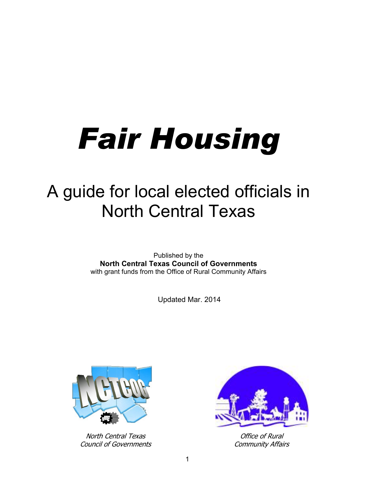# *Fair Housing*

## A guide for local elected officials in North Central Texas

Published by the **North Central Texas Council of Governments** with grant funds from the Office of Rural Community Affairs

Updated Mar. 2014



North Central Texas Council of Governments



Office of Rural Community Affairs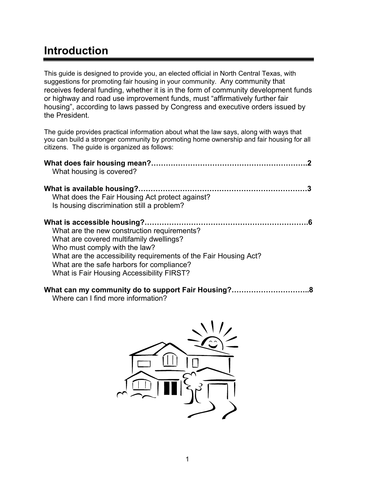## **Introduction**

This guide is designed to provide you, an elected official in North Central Texas, with suggestions for promoting fair housing in your community. Any community that receives federal funding, whether it is in the form of community development funds or highway and road use improvement funds, must "affirmatively further fair housing", according to laws passed by Congress and executive orders issued by the President.

The guide provides practical information about what the law says, along with ways that you can build a stronger community by promoting home ownership and fair housing for all citizens. The guide is organized as follows:

| What housing is covered?                                                                                                                                                                                                                                                              |
|---------------------------------------------------------------------------------------------------------------------------------------------------------------------------------------------------------------------------------------------------------------------------------------|
| What does the Fair Housing Act protect against?<br>Is housing discrimination still a problem?                                                                                                                                                                                         |
| What are the new construction requirements?<br>What are covered multifamily dwellings?<br>Who must comply with the law?<br>What are the accessibility requirements of the Fair Housing Act?<br>What are the safe harbors for compliance?<br>What is Fair Housing Accessibility FIRST? |

## **What can my community do to support Fair Housing?…………………………..8**

Where can I find more information?

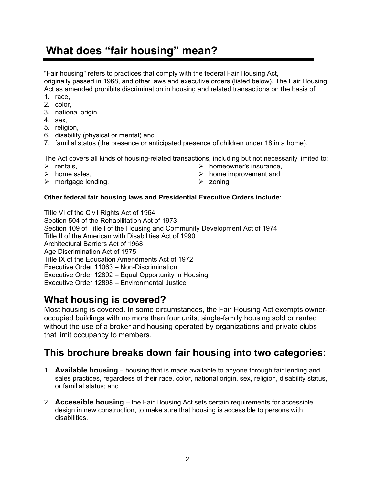## **What does "fair housing" mean?**

"Fair housing" refers to practices that comply with the federal Fair Housing Act, originally passed in 1968, and other laws and executive orders (listed below). The Fair Housing Act as amended prohibits discrimination in housing and related transactions on the basis of:

- 1. race,
- 2. color,
- 3. national origin,
- 4. sex,
- 5. religion,
- 6. disability (physical or mental) and
- 7. familial status (the presence or anticipated presence of children under 18 in a home).

The Act covers all kinds of housing-related transactions, including but not necessarily limited to:

- $\triangleright$  rentals
- $\triangleright$  home sales,
- $\triangleright$  mortgage lending,
- $\triangleright$  homeowner's insurance.
- $\triangleright$  home improvement and
- $\triangleright$  zoning.

#### **Other federal fair housing laws and Presidential Executive Orders include:**

Title VI of the Civil Rights Act of 1964 Section 504 of the Rehabilitation Act of 1973 Section 109 of Title I of the Housing and Community Development Act of 1974 Title II of the American with Disabilities Act of 1990 Architectural Barriers Act of 1968 Age Discrimination Act of 1975 Title IX of the Education Amendments Act of 1972 Executive Order 11063 – Non-Discrimination Executive Order 12892 – Equal Opportunity in Housing Executive Order 12898 – Environmental Justice

## **What housing is covered?**

Most housing is covered. In some circumstances, the Fair Housing Act exempts owneroccupied buildings with no more than four units, single-family housing sold or rented without the use of a broker and housing operated by organizations and private clubs that limit occupancy to members.

### **This brochure breaks down fair housing into two categories:**

- 1. **Available housing** housing that is made available to anyone through fair lending and sales practices, regardless of their race, color, national origin, sex, religion, disability status, or familial status; and
- 2. **Accessible housing** the Fair Housing Act sets certain requirements for accessible design in new construction, to make sure that housing is accessible to persons with disabilities.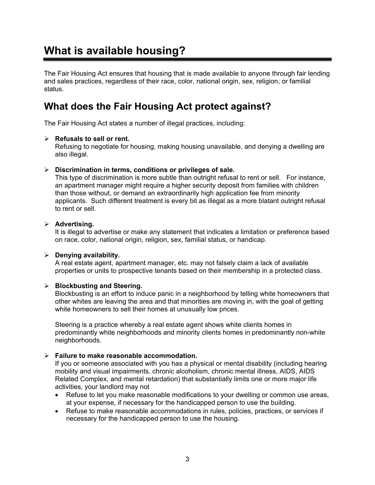## **What is available housing?**

The Fair Housing Act ensures that housing that is made available to anyone through fair lending and sales practices, regardless of their race, color, national origin, sex, religion, or familial status.

## **What does the Fair Housing Act protect against?**

The Fair Housing Act states a number of illegal practices, including:

#### ¾ **Refusals to sell or rent.**

Refusing to negotiate for housing, making housing unavailable, and denying a dwelling are also illegal.

#### ¾ **Discrimination in terms, conditions or privileges of sale.**

This type of discrimination is more subtle than outright refusal to rent or sell. For instance, an apartment manager might require a higher security deposit from families with children than those without, or demand an extraordinarily high application fee from minority applicants. Such different treatment is every bit as illegal as a more blatant outright refusal to rent or sell.

#### ¾ **Advertising.**

It is illegal to advertise or make any statement that indicates a limitation or preference based on race, color, national origin, religion, sex, familial status, or handicap.

#### ¾ **Denying availability.**

A real estate agent, apartment manager, etc. may not falsely claim a lack of available properties or units to prospective tenants based on their membership in a protected class.

#### ¾ **Blockbusting and Steering.**

Blockbusting is an effort to induce panic in a neighborhood by telling white homeowners that other whites are leaving the area and that minorities are moving in, with the goal of getting white homeowners to sell their homes at unusually low prices.

Steering is a practice whereby a real estate agent shows white clients homes in predominantly white neighborhoods and minority clients homes in predominantly non-white neighborhoods.

#### ¾ **Failure to make reasonable accommodation.**

If you or someone associated with you has a physical or mental disability (including hearing mobility and visual impairments, chronic alcoholism, chronic mental illness, AIDS, AIDS Related Complex, and mental retardation) that substantially limits one or more major life activities, your landlord may not

- Refuse to let you make reasonable modifications to your dwelling or common use areas, at your expense, if necessary for the handicapped person to use the building.
- Refuse to make reasonable accommodations in rules, policies, practices, or services if necessary for the handicapped person to use the housing.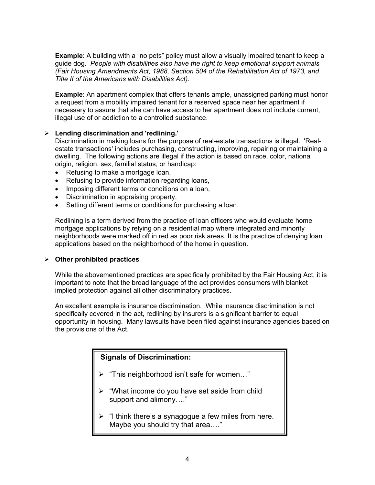**Example**: A building with a "no pets" policy must allow a visually impaired tenant to keep a guide dog. *People with disabilities also have the right to keep emotional support animals (Fair Housing Amendments Act, 1988, Section 504 of the Rehabilitation Act of 1973, and Title II of the Americans with Disabilities Act).*

**Example**: An apartment complex that offers tenants ample, unassigned parking must honor a request from a mobility impaired tenant for a reserved space near her apartment if necessary to assure that she can have access to her apartment does not include current, illegal use of or addiction to a controlled substance.

#### ¾ **Lending discrimination and 'redlining.'**

Discrimination in making loans for the purpose of real-estate transactions is illegal. 'Realestate transactions' includes purchasing, constructing, improving, repairing or maintaining a dwelling. The following actions are illegal if the action is based on race, color, national origin, religion, sex, familial status, or handicap:

- Refusing to make a mortgage loan,
- Refusing to provide information regarding loans,
- Imposing different terms or conditions on a loan,
- Discrimination in appraising property,
- Setting different terms or conditions for purchasing a loan.

Redlining is a term derived from the practice of loan officers who would evaluate home mortgage applications by relying on a residential map where integrated and minority neighborhoods were marked off in red as poor risk areas. It is the practice of denying loan applications based on the neighborhood of the home in question.

#### ¾ **Other prohibited practices**

While the abovementioned practices are specifically prohibited by the Fair Housing Act, it is important to note that the broad language of the act provides consumers with blanket implied protection against all other discriminatory practices.

An excellent example is insurance discrimination. While insurance discrimination is not specifically covered in the act, redlining by insurers is a significant barrier to equal opportunity in housing. Many lawsuits have been filed against insurance agencies based on the provisions of the Act.

#### **Signals of Discrimination:**

- ¾ "This neighborhood isn't safe for women…"
- ¾ "What income do you have set aside from child support and alimony…."
- ¾ "I think there's a synagogue a few miles from here. Maybe you should try that area…."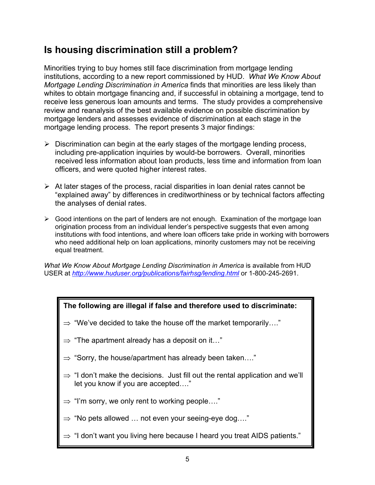## **Is housing discrimination still a problem?**

Minorities trying to buy homes still face discrimination from mortgage lending institutions, according to a new report commissioned by HUD. *What We Know About Mortgage Lending Discrimination in America* finds that minorities are less likely than whites to obtain mortgage financing and, if successful in obtaining a mortgage, tend to receive less generous loan amounts and terms. The study provides a comprehensive review and reanalysis of the best available evidence on possible discrimination by mortgage lenders and assesses evidence of discrimination at each stage in the mortgage lending process. The report presents 3 major findings:

- $\triangleright$  Discrimination can begin at the early stages of the mortgage lending process, including pre-application inquiries by would-be borrowers. Overall, minorities received less information about loan products, less time and information from loan officers, and were quoted higher interest rates.
- $\triangleright$  At later stages of the process, racial disparities in loan denial rates cannot be "explained away" by differences in creditworthiness or by technical factors affecting the analyses of denial rates.
- $\triangleright$  Good intentions on the part of lenders are not enough. Examination of the mortgage loan origination process from an individual lender's perspective suggests that even among institutions with food intentions, and where loan officers take pride in working with borrowers who need additional help on loan applications, minority customers may not be receiving equal treatment.

*What We Know About Mortgage Lending Discrimination in America* is available from HUD USER at *http://www.huduser.org/publications/fairhsg/lending.html* or 1-800-245-2691.



- let you know if you are accepted…."
- $\Rightarrow$  "I'm sorry, we only rent to working people...."
- ⇒ "No pets allowed … not even your seeing-eye dog…."
- ⇒ "I don't want you living here because I heard you treat AIDS patients."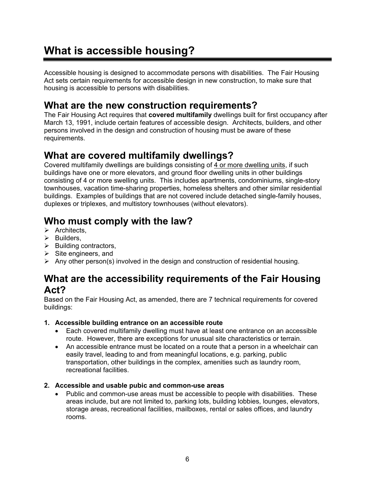## **What is accessible housing?**

Accessible housing is designed to accommodate persons with disabilities. The Fair Housing Act sets certain requirements for accessible design in new construction, to make sure that housing is accessible to persons with disabilities.

## **What are the new construction requirements?**

The Fair Housing Act requires that **covered multifamily** dwellings built for first occupancy after March 13, 1991, include certain features of accessible design. Architects, builders, and other persons involved in the design and construction of housing must be aware of these requirements.

## **What are covered multifamily dwellings?**

Covered multifamily dwellings are buildings consisting of 4 or more dwelling units, if such buildings have one or more elevators, and ground floor dwelling units in other buildings consisting of 4 or more swelling units. This includes apartments, condominiums, single-story townhouses, vacation time-sharing properties, homeless shelters and other similar residential buildings. Examples of buildings that are not covered include detached single-family houses, duplexes or triplexes, and multistory townhouses (without elevators).

## **Who must comply with the law?**

- $\triangleright$  Architects.
- $\triangleright$  Builders,
- $\triangleright$  Building contractors,
- $\triangleright$  Site engineers, and
- $\triangleright$  Any other person(s) involved in the design and construction of residential housing.

#### **What are the accessibility requirements of the Fair Housing Act?**

Based on the Fair Housing Act, as amended, there are 7 technical requirements for covered buildings:

#### **1. Accessible building entrance on an accessible route**

- Each covered multifamily dwelling must have at least one entrance on an accessible route. However, there are exceptions for unusual site characteristics or terrain.
- An accessible entrance must be located on a route that a person in a wheelchair can easily travel, leading to and from meaningful locations, e.g. parking, public transportation, other buildings in the complex, amenities such as laundry room, recreational facilities.

#### **2. Accessible and usable pubic and common-use areas**

• Public and common-use areas must be accessible to people with disabilities. These areas include, but are not limited to, parking lots, building lobbies, lounges, elevators, storage areas, recreational facilities, mailboxes, rental or sales offices, and laundry rooms.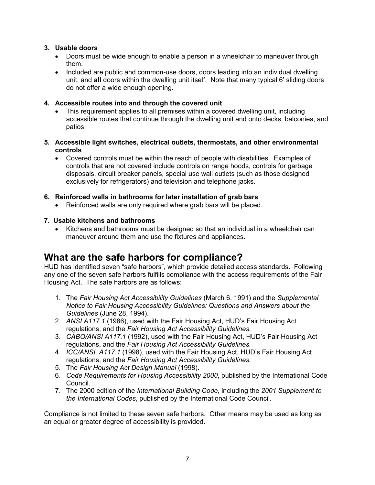#### **3. Usable doors**

- Doors must be wide enough to enable a person in a wheelchair to maneuver through them.
- Included are public and common-use doors, doors leading into an individual dwelling unit, and **all** doors within the dwelling unit itself. Note that many typical 6' sliding doors do not offer a wide enough opening.

#### **4. Accessible routes into and through the covered unit**

- This requirement applies to all premises within a covered dwelling unit, including accessible routes that continue through the dwelling unit and onto decks, balconies, and patios.
- **5. Accessible light switches, electrical outlets, thermostats, and other environmental controls**
	- Covered controls must be within the reach of people with disabilities. Examples of controls that are not covered include controls on range hoods, controls for garbage disposals, circuit breaker panels, special use wall outlets (such as those designed exclusively for refrigerators) and television and telephone jacks.

#### **6. Reinforced walls in bathrooms for later installation of grab bars**

Reinforced walls are only required where grab bars will be placed.

#### **7. Usable kitchens and bathrooms**

• Kitchens and bathrooms must be designed so that an individual in a wheelchair can maneuver around them and use the fixtures and appliances.

## **What are the safe harbors for compliance?**

HUD has identified seven "safe harbors", which provide detailed access standards. Following any one of the seven safe harbors fulfills compliance with the access requirements of the Fair Housing Act. The safe harbors are as follows:

- 1. The *Fair Housing Act Accessibility Guidelines* (March 6, 1991) and the *Supplemental Notice to Fair Housing Accessibility Guidelines: Questions and Answers about the Guidelines* (June 28, 1994).
- 2. *ANSI A117.1* (1986), used with the Fair Housing Act, HUD's Fair Housing Act regulations, and the *Fair Housing Act Accessibility Guidelines.*
- 3. *CABO/ANSI A117.1* (1992), used with the Fair Housing Act, HUD's Fair Housing Act regulations, and the *Fair Housing Act Accessibility Guidelines.*
- 4. *ICC/ANSI A117.1* (1998), used with the Fair Housing Act, HUD's Fair Housing Act regulations, and the *Fair Housing Act Accessibility Guidelines.*
- 5. The *Fair Housing Act Design Manual* (1998).
- 6. *Code Requirements for Housing Accessibility 2000*, published by the International Code Council.
- 7. The 2000 edition of the *International Building Code*, including the *2001 Supplement to the International Codes*, published by the International Code Council.

Compliance is not limited to these seven safe harbors. Other means may be used as long as an equal or greater degree of accessibility is provided.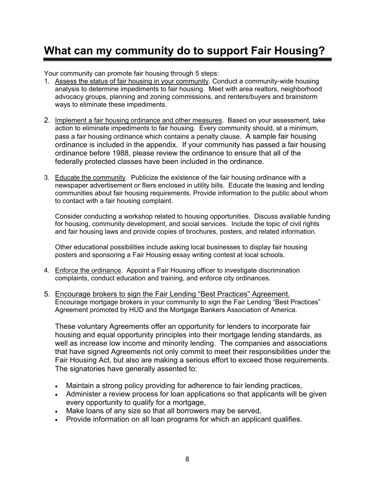## **What can my community do to support Fair Housing?**

Your community can promote fair housing through 5 steps:

- 1. Assess the status of fair housing in your community. Conduct a community-wide housing analysis to determine impediments to fair housing. Meet with area realtors, neighborhood advocacy groups, planning and zoning commissions, and renters/buyers and brainstorm ways to eliminate these impediments.
- 2. Implement a fair housing ordinance and other measures. Based on your assessment, take action to eliminate impediments to fair housing. Every community should, at a minimum, pass a fair housing ordinance which contains a penalty clause. A sample fair housing ordinance is included in the appendix. If your community has passed a fair housing ordinance before 1988, please review the ordinance to ensure that all of the federally protected classes have been included in the ordinance.
- 3. Educate the community. Publicize the existence of the fair housing ordinance with a newspaper advertisement or fliers enclosed in utility bills. Educate the leasing and lending communities about fair housing requirements. Provide information to the public about whom to contact with a fair housing complaint.

Consider conducting a workshop related to housing opportunities. Discuss available funding for housing, community development, and social services. Include the topic of civil rights and fair housing laws and provide copies of brochures, posters, and related information.

Other educational possibilities include asking local businesses to display fair housing posters and sponsoring a Fair Housing essay writing contest at local schools.

- 4. Enforce the ordinance. Appoint a Fair Housing officer to investigate discrimination complaints, conduct education and training, and enforce city ordinances.
- 5. Encourage brokers to sign the Fair Lending "Best Practices" Agreement. Encourage mortgage brokers in your community to sign the Fair Lending "Best Practices" Agreement promoted by HUD and the Mortgage Bankers Association of America.

These voluntary Agreements offer an opportunity for lenders to incorporate fair housing and equal opportunity principles into their mortgage lending standards, as well as increase low income and minority lending. The companies and associations that have signed Agreements not only commit to meet their responsibilities under the Fair Housing Act, but also are making a serious effort to exceed those requirements. The signatories have generally assented to:

- Maintain a strong policy providing for adherence to fair lending practices,
- Administer a review process for loan applications so that applicants will be given every opportunity to qualify for a mortgage,
- Make loans of any size so that all borrowers may be served,
- Provide information on all loan programs for which an applicant qualifies.